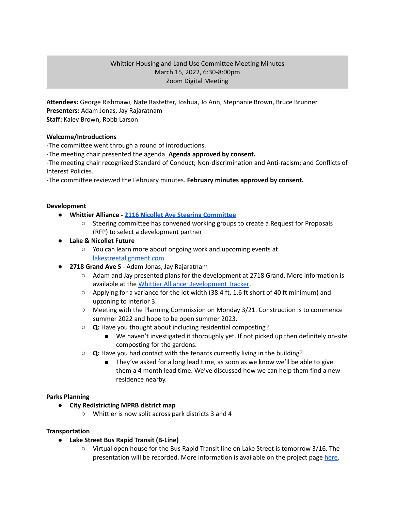# Whittier Housing and Land Use Committee Meeting Minutes March 15, 2022, 6:30-8:00pm Zoom Digital Meeting

**Attendees:** George Rishmawi, Nate Rastetter, Joshua, Jo Ann, Stephanie Brown, Bruce Brunner **Presenters:** Adam Jonas, Jay Rajaratnam **Staff:** Kaley Brown, Robb Larson

## **Welcome/Introductions**

-The committee went through a round of introductions.

-The meeting chair presented the agenda. **Agenda approved by consent.**

-The meeting chair recognized Standard of Conduct; Non-discrimination and Anti-racism; and Conflicts of Interest Policies.

-The committee reviewed the February minutes. **February minutes approved by consent.**

### **Development**

- **● Whittier Alliance - 2116 Nicollet Ave Steering [Committee](https://www.whittieralliance.org/2116-nicollet-ave-vacant-lot.html)**
	- Steering committee has convened working groups to create a Request for Proposals (RFP) to select a development partner
- **● Lake & Nicollet Future**
	- You can learn more about ongoing work and upcoming events at [lakestreetalignment.com](https://www.lakestreetalignment.com/)
- **2718 Grand Ave S** Adam Jonas, Jay Rajaratnam
	- Adam and Jay presented plans for the development at 2718 Grand. More information is available at the Whittier Alliance [Development](https://www.whittieralliance.org/development-tracker.html) Tracker.
	- $\circ$  Applying for a variance for the lot width (38.4 ft, 1.6 ft short of 40 ft minimum) and upzoning to Interior 3.
	- Meeting with the Planning Commission on Monday 3/21. Construction is to commence summer 2022 and hope to be open summer 2023.
	- **○ Q:** Have you thought about including residential composting?
		- We haven't investigated it thoroughly yet. If not picked up then definitely on-site composting for the gardens.
	- **○ Q:** Have you had contact with the tenants currently living in the building?
		- They've asked for a long lead time, as soon as we know we'll be able to give them a 4 month lead time. We've discussed how we can help them find a new residence nearby.

### **Parks Planning**

- **● City Redistricting MPRB district map**
	- **○** Whittier is now split across park districts 3 and 4

### **Transportation**

- **Lake Street Bus Rapid Transit (B-Line)**
	- **○** Virtual open house for the Bus Rapid Transit line on Lake Street is tomorrow 3/16. The presentation will be recorded. More information is available on the project page [here.](https://www.hennepin.us/lake-street-improvements)